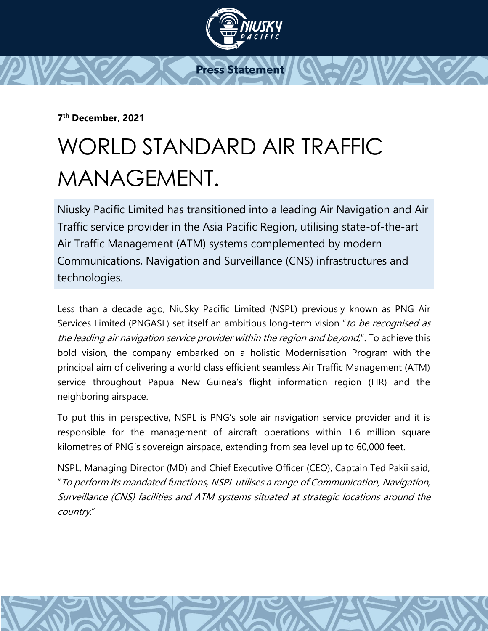

**7 th December, 2021**

## WORLD STANDARD AIR TRAFFIC MANAGEMENT.

Niusky Pacific Limited has transitioned into a leading Air Navigation and Air Traffic service provider in the Asia Pacific Region, utilising state-of-the-art Air Traffic Management (ATM) systems complemented by modern Communications, Navigation and Surveillance (CNS) infrastructures and technologies.

Less than a decade ago, NiuSky Pacific Limited (NSPL) previously known as PNG Air Services Limited (PNGASL) set itself an ambitious long-term vision "to be recognised as the leading air navigation service provider within the region and beyond,". To achieve this bold vision, the company embarked on a holistic Modernisation Program with the principal aim of delivering a world class efficient seamless Air Traffic Management (ATM) service throughout Papua New Guinea's flight information region (FIR) and the neighboring airspace.

To put this in perspective, NSPL is PNG's sole air navigation service provider and it is responsible for the management of aircraft operations within 1.6 million square kilometres of PNG's sovereign airspace, extending from sea level up to 60,000 feet.

NSPL, Managing Director (MD) and Chief Executive Officer (CEO), Captain Ted Pakii said, "To perform its mandated functions, NSPL utilises a range of Communication, Navigation, Surveillance (CNS) facilities and ATM systems situated at strategic locations around the country."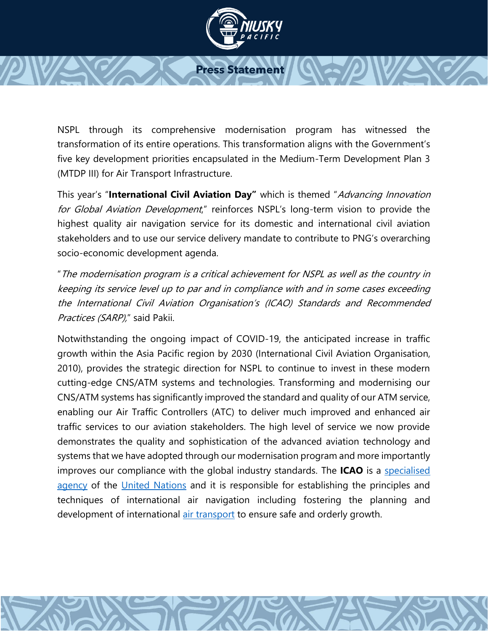

NSPL through its comprehensive modernisation program has witnessed the transformation of its entire operations. This transformation aligns with the Government's five key development priorities encapsulated in the Medium-Term Development Plan 3 (MTDP III) for Air Transport Infrastructure.

This year's "**International Civil Aviation Day"** which is themed "Advancing Innovation for Global Aviation Development," reinforces NSPL's long-term vision to provide the highest quality air navigation service for its domestic and international civil aviation stakeholders and to use our service delivery mandate to contribute to PNG's overarching socio-economic development agenda.

"The modernisation program is a critical achievement for NSPL as well as the country in keeping its service level up to par and in compliance with and in some cases exceeding the International Civil Aviation Organisation's (ICAO) Standards and Recommended Practices (SARP)," said Pakii.

Notwithstanding the ongoing impact of COVID-19, the anticipated increase in traffic growth within the Asia Pacific region by 2030 (International Civil Aviation Organisation, 2010), provides the strategic direction for NSPL to continue to invest in these modern cutting-edge CNS/ATM systems and technologies. Transforming and modernising our CNS/ATM systems has significantly improved the standard and quality of our ATM service, enabling our Air Traffic Controllers (ATC) to deliver much improved and enhanced air traffic services to our aviation stakeholders. The high level of service we now provide demonstrates the quality and sophistication of the advanced aviation technology and systems that we have adopted through our modernisation program and more importantly improves our compliance with the global industry standards. The **ICAO** is a [specialised](https://en.wikipedia.org/wiki/Specialized_agency)  [agency](https://en.wikipedia.org/wiki/Specialized_agency) of the [United Nations](https://en.wikipedia.org/wiki/United_Nations) and it is responsible for establishing the principles and techniques of international air navigation including fostering the planning and development of international [air transport](https://en.wikipedia.org/wiki/Scheduled_air_transport) to ensure safe and orderly growth.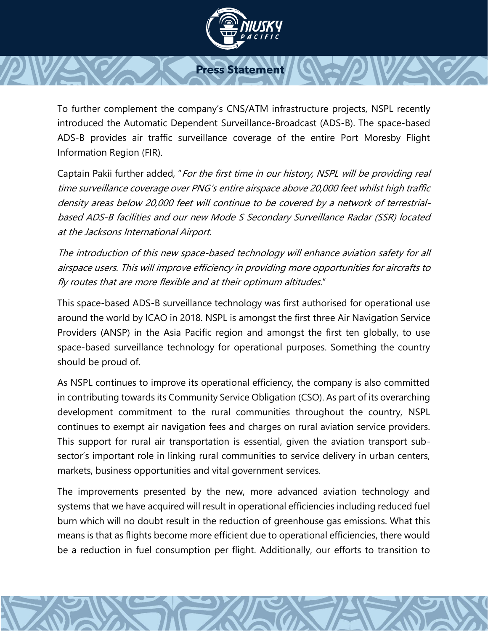

To further complement the company's CNS/ATM infrastructure projects, NSPL recently introduced the Automatic Dependent Surveillance-Broadcast (ADS-B). The space-based ADS-B provides air traffic surveillance coverage of the entire Port Moresby Flight Information Region (FIR).

Captain Pakii further added, "For the first time in our history, NSPL will be providing real time surveillance coverage over PNG's entire airspace above 20,000 feet whilst high traffic density areas below 20,000 feet will continue to be covered by a network of terrestrialbased ADS-B facilities and our new Mode S Secondary Surveillance Radar (SSR) located at the Jacksons International Airport.

The introduction of this new space-based technology will enhance aviation safety for all airspace users. This will improve efficiency in providing more opportunities for aircrafts to fly routes that are more flexible and at their optimum altitudes."

This space-based ADS-B surveillance technology was first authorised for operational use around the world by ICAO in 2018. NSPL is amongst the first three Air Navigation Service Providers (ANSP) in the Asia Pacific region and amongst the first ten globally, to use space-based surveillance technology for operational purposes. Something the country should be proud of.

As NSPL continues to improve its operational efficiency, the company is also committed in contributing towards its Community Service Obligation (CSO). As part of its overarching development commitment to the rural communities throughout the country, NSPL continues to exempt air navigation fees and charges on rural aviation service providers. This support for rural air transportation is essential, given the aviation transport subsector's important role in linking rural communities to service delivery in urban centers, markets, business opportunities and vital government services.

The improvements presented by the new, more advanced aviation technology and systems that we have acquired will result in operational efficiencies including reduced fuel burn which will no doubt result in the reduction of greenhouse gas emissions. What this means is that as flights become more efficient due to operational efficiencies, there would be a reduction in fuel consumption per flight. Additionally, our efforts to transition to